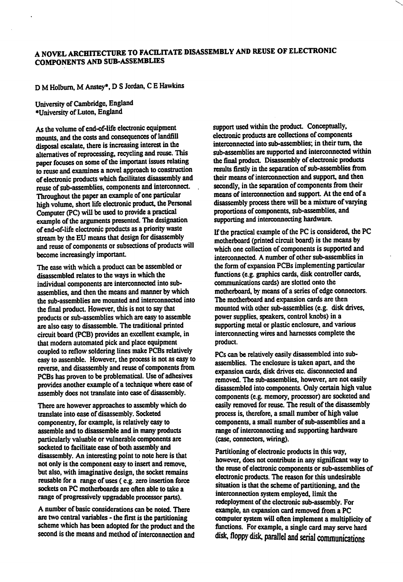## A NOVEL ARCHITECTURE TO FACILITATE DISASSEMBLY AND REUSE OF ELECTRONIC COMPONENTS AND SUB-ASSEMBLIES

## D M Holbum, M Anstey\*. D S Jordan, C E Hawkins

University of Cambridge, England ♦University of Luton, England

As the volume of end-of-life electronic equipment mounts, and the costs and consequences of landfill disposal escalate, there is increasing interest in the alternatives of reprocessing, recycling and reuse. This paper focuses on some of the important issues relating to reuse and examines a novel approach to construction of electronic products which fecilitates disassembly and reuse of sub-assemblies, components and interconnect. Throughout the paper an example of one particular high volume, short life electronic product, the Personal Computer (PC) will be used to provide a practical example of the arguments presented. The designation of end-of-life electronic products as a priority waste stream by the EU means that design for disassembly and reuse of components or subsections of products will become increasingly important.

The ease with which a product can be assembled or disassembled relates to the ways in which the individual components are interconnected into subassemblies, and then the means and manner by which the sub-assemblies are mounted and interconnected into the final product. However, this is not to say that products or sub-assemblies which are easy to assemble are also easy to disassemble. The traditional printed circuit board (PCS) provides an excellent example, in that modem automated pick and place equipment coupled to reflow soldering lines make PCBs relatively easy to assemble. However, the process is not as easy to reverse, and disassembly and reuse of components from PCBs has proven to be problematical. Use of adhesives provides another example of a technique where ease of assembly does not translate into ease of disassembly.

There are however approaches to assembly which do translate into ease of disassembly. Socketed componentry, for example, is relatively easy to assemble and to disassemble and in many products particularly valuable or vulnerable components are socketed to facilitate ease of both assembly and disassembly. An interesting point to note here is that not only is the component easy to insert and remove, but also, with imaginative design, the socket remains reusable for a range of uses (e.g. zero insertion force sockets on PC motherboards are often able to take a range of progressively upgradable processor parts).

A number of basic considerations can be noted. There are two central variables - the first is the partitioning scheme which has been adopted for the product and the second is the means and method of interconnection and support used within the product. Conceptually, electronic products are collections of components interconnected into sub-assemblies; in their turn, the sub-assemblies are supported and interconnected within the final product. Disassembly of electronic products results firstly in the separation of sub-assemblies from their means of interconnection and support, and then secondly, in the separation of components from their means of interconnection and support. At the end of a disassembly process there will be a mixture of varying proportions of components, sub-assemblies, and supporting and interconnecting hardware.

If the practical example of the PC is considered, the PC motherboard (printed circuit board) is the means by which one collection of components is supported and interconnected. A number of other sub-assemblies in the form of expansion PCBs implementing particular functions (e.g. graphics cards, disk controller cards, communications cards) are slotted onto the motherboard, by means of a series of edge connectors. The motherboard and expansion cards are then mounted with other sub-assemblies (e.g. disk drives, power supplies, speakers, control knobs) in a supporting metal or plastic enclosure, and various interconnecting wires and harnesses complete the product.

PCs can be relatively easily disassembled into subassemblies. The enclosure is taken apart, and the expansion cards, disk drives etc. disconnected and removed. The sub-assemblies, however, are not easily disassembled into components. Only certain high value components (e.g. memory, processor) are socketed and easily removed for reuse. The result of the disassembly process is, therefore, a small number of high value components, a small number of sub-assemblies and a range of interconnecting and supporting hardware (case, connectors, wiring).

Partitioning of electronic products in this way, however, does not contribute in any significant way to the reuse of electronic components or sub-assemblies of electronic products. The reason for this undesirable situation is that the scheme of partitioning, and the interconnection system employed, limit the redeployment of the electronic sub-assembly. For example, an expansion card removed from a PC computer system will often implement a multiplicity of functions. For example, a single card may serve hard disk, floppy disk, parallel and serial communications